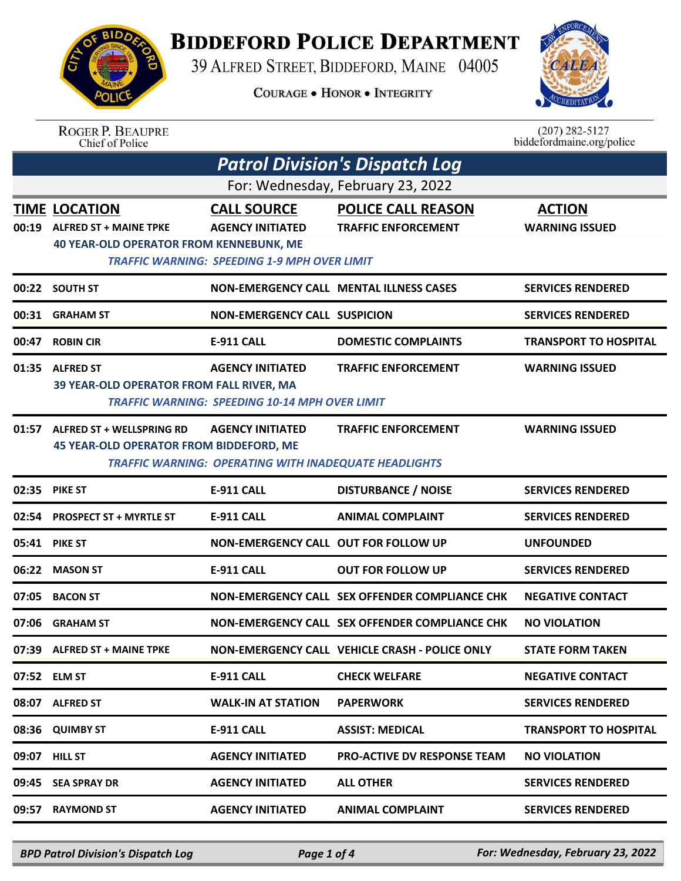## **BIDDEFORD POLICE DEPARTMENT**

39 ALFRED STREET, BIDDEFORD, MAINE 04005

**COURAGE . HONOR . INTEGRITY** 



| <b>ROGER P. BEAUPRE</b> |
|-------------------------|
| Chief of Police         |

| $(207)$ 282-5127 |                           |
|------------------|---------------------------|
|                  | biddefordmaine.org/police |

| Patrol Division's Dispatch Log |                                                                                                         |                                                                                                      |                                                         |                                        |  |  |
|--------------------------------|---------------------------------------------------------------------------------------------------------|------------------------------------------------------------------------------------------------------|---------------------------------------------------------|----------------------------------------|--|--|
|                                | For: Wednesday, February 23, 2022                                                                       |                                                                                                      |                                                         |                                        |  |  |
| 00:19                          | <b>TIME LOCATION</b><br><b>ALFRED ST + MAINE TPKE</b><br><b>40 YEAR-OLD OPERATOR FROM KENNEBUNK, ME</b> | <b>CALL SOURCE</b><br><b>AGENCY INITIATED</b><br><b>TRAFFIC WARNING: SPEEDING 1-9 MPH OVER LIMIT</b> | <b>POLICE CALL REASON</b><br><b>TRAFFIC ENFORCEMENT</b> | <b>ACTION</b><br><b>WARNING ISSUED</b> |  |  |
|                                | 00:22 SOUTH ST                                                                                          |                                                                                                      | <b>NON-EMERGENCY CALL MENTAL ILLNESS CASES</b>          | <b>SERVICES RENDERED</b>               |  |  |
| 00:31                          | <b>GRAHAM ST</b>                                                                                        | <b>NON-EMERGENCY CALL SUSPICION</b>                                                                  |                                                         | <b>SERVICES RENDERED</b>               |  |  |
| 00:47                          | <b>ROBIN CIR</b>                                                                                        | <b>E-911 CALL</b>                                                                                    | <b>DOMESTIC COMPLAINTS</b>                              | <b>TRANSPORT TO HOSPITAL</b>           |  |  |
| 01:35                          | <b>ALFRED ST</b><br>39 YEAR-OLD OPERATOR FROM FALL RIVER, MA                                            | <b>AGENCY INITIATED</b><br><b>TRAFFIC WARNING: SPEEDING 10-14 MPH OVER LIMIT</b>                     | <b>TRAFFIC ENFORCEMENT</b>                              | <b>WARNING ISSUED</b>                  |  |  |
| 01:57                          | <b>ALFRED ST + WELLSPRING RD</b><br><b>45 YEAR-OLD OPERATOR FROM BIDDEFORD, ME</b>                      | <b>AGENCY INITIATED</b><br><b>TRAFFIC WARNING: OPERATING WITH INADEQUATE HEADLIGHTS</b>              | <b>TRAFFIC ENFORCEMENT</b>                              | <b>WARNING ISSUED</b>                  |  |  |
|                                | 02:35 PIKE ST                                                                                           | <b>E-911 CALL</b>                                                                                    | <b>DISTURBANCE / NOISE</b>                              | <b>SERVICES RENDERED</b>               |  |  |
| 02:54                          | <b>PROSPECT ST + MYRTLE ST</b>                                                                          | <b>E-911 CALL</b>                                                                                    | <b>ANIMAL COMPLAINT</b>                                 | <b>SERVICES RENDERED</b>               |  |  |
| 05:41                          | <b>PIKE ST</b>                                                                                          | NON-EMERGENCY CALL OUT FOR FOLLOW UP                                                                 |                                                         | <b>UNFOUNDED</b>                       |  |  |
| 06:22                          | <b>MASON ST</b>                                                                                         | <b>E-911 CALL</b>                                                                                    | <b>OUT FOR FOLLOW UP</b>                                | <b>SERVICES RENDERED</b>               |  |  |
| 07:05                          | <b>BACON ST</b>                                                                                         |                                                                                                      | NON-EMERGENCY CALL SEX OFFENDER COMPLIANCE CHK          | <b>NEGATIVE CONTACT</b>                |  |  |
| 07:06                          | <b>GRAHAM ST</b>                                                                                        |                                                                                                      | NON-EMERGENCY CALL SEX OFFENDER COMPLIANCE CHK          | <b>NO VIOLATION</b>                    |  |  |
| 07:39                          | <b>ALFRED ST + MAINE TPKE</b>                                                                           |                                                                                                      | NON-EMERGENCY CALL VEHICLE CRASH - POLICE ONLY          | <b>STATE FORM TAKEN</b>                |  |  |
|                                | 07:52 ELM ST                                                                                            | <b>E-911 CALL</b>                                                                                    | <b>CHECK WELFARE</b>                                    | <b>NEGATIVE CONTACT</b>                |  |  |
| 08:07                          | <b>ALFRED ST</b>                                                                                        | <b>WALK-IN AT STATION</b>                                                                            | <b>PAPERWORK</b>                                        | <b>SERVICES RENDERED</b>               |  |  |
| 08:36                          | <b>QUIMBY ST</b>                                                                                        | <b>E-911 CALL</b>                                                                                    | <b>ASSIST: MEDICAL</b>                                  | <b>TRANSPORT TO HOSPITAL</b>           |  |  |
| 09:07                          | <b>HILL ST</b>                                                                                          | <b>AGENCY INITIATED</b>                                                                              | <b>PRO-ACTIVE DV RESPONSE TEAM</b>                      | <b>NO VIOLATION</b>                    |  |  |
| 09:45                          | <b>SEA SPRAY DR</b>                                                                                     | <b>AGENCY INITIATED</b>                                                                              | <b>ALL OTHER</b>                                        | <b>SERVICES RENDERED</b>               |  |  |
| 09:57                          | <b>RAYMOND ST</b>                                                                                       | <b>AGENCY INITIATED</b>                                                                              | <b>ANIMAL COMPLAINT</b>                                 | <b>SERVICES RENDERED</b>               |  |  |

*BPD Patrol Division's Dispatch Log Page 1 of 4 For: Wednesday, February 23, 2022*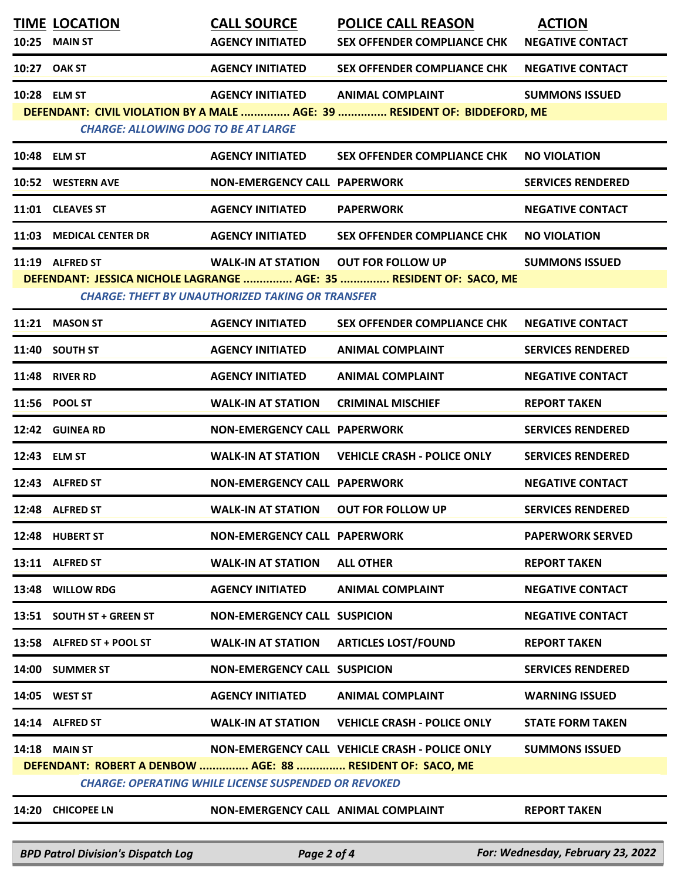| <b>TIME LOCATION</b>                                       | <b>CALL SOURCE</b>                                          | <b>POLICE CALL REASON</b>                                                 | <b>ACTION</b>            |
|------------------------------------------------------------|-------------------------------------------------------------|---------------------------------------------------------------------------|--------------------------|
| 10:25 MAIN ST                                              | <b>AGENCY INITIATED</b>                                     | <b>SEX OFFENDER COMPLIANCE CHK</b>                                        | <b>NEGATIVE CONTACT</b>  |
| 10:27 OAK ST                                               | <b>AGENCY INITIATED</b>                                     | <b>SEX OFFENDER COMPLIANCE CHK</b>                                        | <b>NEGATIVE CONTACT</b>  |
| 10:28 ELM ST                                               | <b>AGENCY INITIATED</b>                                     | <b>ANIMAL COMPLAINT</b>                                                   | <b>SUMMONS ISSUED</b>    |
| <b>CHARGE: ALLOWING DOG TO BE AT LARGE</b>                 |                                                             | DEFENDANT: CIVIL VIOLATION BY A MALE  AGE: 39  RESIDENT OF: BIDDEFORD, ME |                          |
|                                                            |                                                             |                                                                           |                          |
| 10:48 ELM ST                                               | <b>AGENCY INITIATED</b>                                     | <b>SEX OFFENDER COMPLIANCE CHK</b>                                        | <b>NO VIOLATION</b>      |
| 10:52 WESTERN AVE                                          | <b>NON-EMERGENCY CALL PAPERWORK</b>                         |                                                                           | <b>SERVICES RENDERED</b> |
| 11:01 CLEAVES ST                                           | <b>AGENCY INITIATED</b>                                     | <b>PAPERWORK</b>                                                          | <b>NEGATIVE CONTACT</b>  |
| 11:03 MEDICAL CENTER DR                                    | <b>AGENCY INITIATED</b>                                     | <b>SEX OFFENDER COMPLIANCE CHK</b>                                        | <b>NO VIOLATION</b>      |
| 11:19 ALFRED ST                                            | <b>WALK-IN AT STATION</b>                                   | <b>OUT FOR FOLLOW UP</b>                                                  | <b>SUMMONS ISSUED</b>    |
|                                                            |                                                             | DEFENDANT: JESSICA NICHOLE LAGRANGE  AGE: 35  RESIDENT OF: SACO, ME       |                          |
|                                                            | <b>CHARGE: THEFT BY UNAUTHORIZED TAKING OR TRANSFER</b>     |                                                                           |                          |
| 11:21 MASON ST                                             | <b>AGENCY INITIATED</b>                                     | <b>SEX OFFENDER COMPLIANCE CHK</b>                                        | <b>NEGATIVE CONTACT</b>  |
| 11:40 SOUTH ST                                             | <b>AGENCY INITIATED</b>                                     | <b>ANIMAL COMPLAINT</b>                                                   | <b>SERVICES RENDERED</b> |
| <b>11:48 RIVER RD</b>                                      | <b>AGENCY INITIATED</b>                                     | <b>ANIMAL COMPLAINT</b>                                                   | <b>NEGATIVE CONTACT</b>  |
| 11:56 POOL ST                                              | <b>WALK-IN AT STATION</b>                                   | <b>CRIMINAL MISCHIEF</b>                                                  | <b>REPORT TAKEN</b>      |
| 12:42 GUINEA RD                                            | <b>NON-EMERGENCY CALL PAPERWORK</b>                         |                                                                           | <b>SERVICES RENDERED</b> |
| 12:43 ELM ST                                               | <b>WALK-IN AT STATION</b>                                   | <b>VEHICLE CRASH - POLICE ONLY</b>                                        | <b>SERVICES RENDERED</b> |
| 12:43 ALFRED ST                                            | <b>NON-EMERGENCY CALL PAPERWORK</b>                         |                                                                           | <b>NEGATIVE CONTACT</b>  |
| 12:48 ALFRED ST                                            | <b>WALK-IN AT STATION</b>                                   | <b>OUT FOR FOLLOW UP</b>                                                  | <b>SERVICES RENDERED</b> |
| 12:48 HUBERT ST                                            | <b>NON-EMERGENCY CALL PAPERWORK</b>                         |                                                                           | <b>PAPERWORK SERVED</b>  |
| 13:11 ALFRED ST                                            | <b>WALK-IN AT STATION</b>                                   | <b>ALL OTHER</b>                                                          | <b>REPORT TAKEN</b>      |
| 13:48 WILLOW RDG                                           | <b>AGENCY INITIATED</b>                                     | <b>ANIMAL COMPLAINT</b>                                                   | <b>NEGATIVE CONTACT</b>  |
| 13:51 SOUTH ST + GREEN ST                                  | <b>NON-EMERGENCY CALL SUSPICION</b>                         |                                                                           | <b>NEGATIVE CONTACT</b>  |
| 13:58 ALFRED ST + POOL ST                                  | <b>WALK-IN AT STATION</b>                                   | <b>ARTICLES LOST/FOUND</b>                                                | <b>REPORT TAKEN</b>      |
| 14:00 SUMMER ST                                            | <b>NON-EMERGENCY CALL SUSPICION</b>                         |                                                                           | <b>SERVICES RENDERED</b> |
| 14:05 WEST ST                                              | <b>AGENCY INITIATED</b>                                     | <b>ANIMAL COMPLAINT</b>                                                   | <b>WARNING ISSUED</b>    |
| 14:14 ALFRED ST                                            | <b>WALK-IN AT STATION</b>                                   | <b>VEHICLE CRASH - POLICE ONLY</b>                                        | <b>STATE FORM TAKEN</b>  |
| <b>14:18 MAIN ST</b>                                       |                                                             | NON-EMERGENCY CALL VEHICLE CRASH - POLICE ONLY                            | <b>SUMMONS ISSUED</b>    |
| DEFENDANT: ROBERT A DENBOW  AGE: 88  RESIDENT OF: SACO, ME | <b>CHARGE: OPERATING WHILE LICENSE SUSPENDED OR REVOKED</b> |                                                                           |                          |
| 14:20 CHICOPEE LN                                          | NON-EMERGENCY CALL ANIMAL COMPLAINT                         |                                                                           | <b>REPORT TAKEN</b>      |
|                                                            |                                                             |                                                                           |                          |

*BPD Patrol Division's Dispatch Log Page 2 of 4 For: Wednesday, February 23, 2022*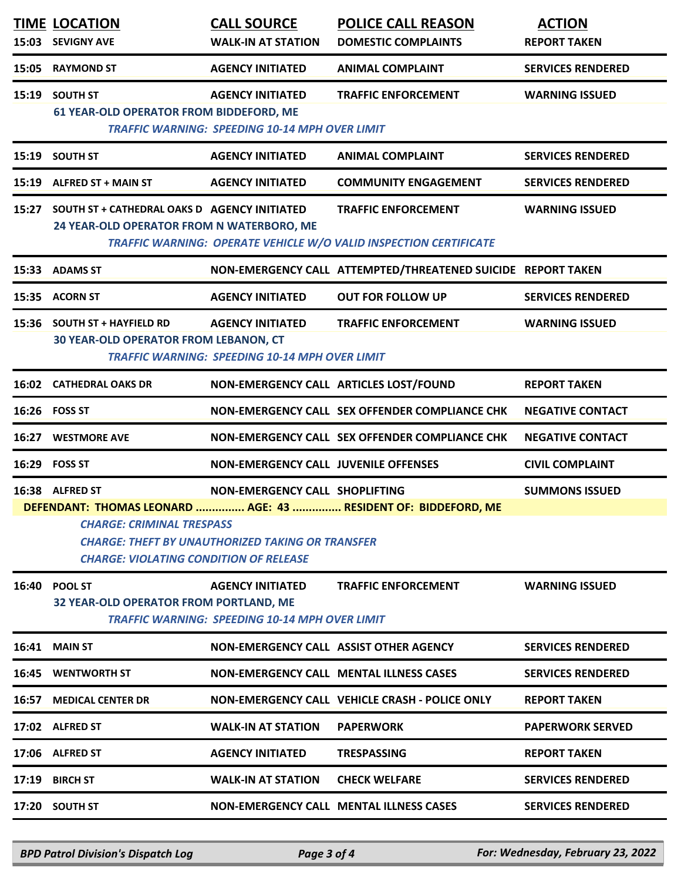|                                                                                                                                                                                                                                                                                              | <b>TIME LOCATION</b><br>15:03 SEVIGNY AVE                                                       | <b>CALL SOURCE</b><br><b>WALK-IN AT STATION</b>                                  | <b>POLICE CALL REASON</b><br><b>DOMESTIC COMPLAINTS</b>                                         | <b>ACTION</b><br><b>REPORT TAKEN</b> |
|----------------------------------------------------------------------------------------------------------------------------------------------------------------------------------------------------------------------------------------------------------------------------------------------|-------------------------------------------------------------------------------------------------|----------------------------------------------------------------------------------|-------------------------------------------------------------------------------------------------|--------------------------------------|
|                                                                                                                                                                                                                                                                                              | 15:05 RAYMOND ST                                                                                | <b>AGENCY INITIATED</b>                                                          | <b>ANIMAL COMPLAINT</b>                                                                         | <b>SERVICES RENDERED</b>             |
|                                                                                                                                                                                                                                                                                              | 15:19 SOUTH ST<br><b>61 YEAR-OLD OPERATOR FROM BIDDEFORD, ME</b>                                | <b>AGENCY INITIATED</b><br><b>TRAFFIC WARNING: SPEEDING 10-14 MPH OVER LIMIT</b> | <b>TRAFFIC ENFORCEMENT</b>                                                                      | <b>WARNING ISSUED</b>                |
|                                                                                                                                                                                                                                                                                              | 15:19 SOUTH ST                                                                                  | <b>AGENCY INITIATED</b>                                                          | <b>ANIMAL COMPLAINT</b>                                                                         | <b>SERVICES RENDERED</b>             |
|                                                                                                                                                                                                                                                                                              | 15:19 ALFRED ST + MAIN ST                                                                       | <b>AGENCY INITIATED</b>                                                          | <b>COMMUNITY ENGAGEMENT</b>                                                                     | <b>SERVICES RENDERED</b>             |
|                                                                                                                                                                                                                                                                                              | 15:27 SOUTH ST + CATHEDRAL OAKS D AGENCY INITIATED<br>24 YEAR-OLD OPERATOR FROM N WATERBORO, ME |                                                                                  | <b>TRAFFIC ENFORCEMENT</b><br>TRAFFIC WARNING: OPERATE VEHICLE W/O VALID INSPECTION CERTIFICATE | <b>WARNING ISSUED</b>                |
|                                                                                                                                                                                                                                                                                              | 15:33 ADAMS ST                                                                                  |                                                                                  | NON-EMERGENCY CALL ATTEMPTED/THREATENED SUICIDE REPORT TAKEN                                    |                                      |
|                                                                                                                                                                                                                                                                                              | 15:35 ACORN ST                                                                                  | <b>AGENCY INITIATED</b>                                                          | <b>OUT FOR FOLLOW UP</b>                                                                        | <b>SERVICES RENDERED</b>             |
|                                                                                                                                                                                                                                                                                              | 15:36 SOUTH ST + HAYFIELD RD<br><b>30 YEAR-OLD OPERATOR FROM LEBANON, CT</b>                    | <b>AGENCY INITIATED</b><br><b>TRAFFIC WARNING: SPEEDING 10-14 MPH OVER LIMIT</b> | <b>TRAFFIC ENFORCEMENT</b>                                                                      | <b>WARNING ISSUED</b>                |
|                                                                                                                                                                                                                                                                                              | <b>16:02 CATHEDRAL OAKS DR</b>                                                                  | NON-EMERGENCY CALL ARTICLES LOST/FOUND                                           |                                                                                                 | <b>REPORT TAKEN</b>                  |
|                                                                                                                                                                                                                                                                                              | 16:26 FOSS ST                                                                                   |                                                                                  | NON-EMERGENCY CALL SEX OFFENDER COMPLIANCE CHK                                                  | <b>NEGATIVE CONTACT</b>              |
|                                                                                                                                                                                                                                                                                              | <b>16:27 WESTMORE AVE</b>                                                                       |                                                                                  | NON-EMERGENCY CALL SEX OFFENDER COMPLIANCE CHK                                                  | <b>NEGATIVE CONTACT</b>              |
|                                                                                                                                                                                                                                                                                              | 16:29 FOSS ST                                                                                   | <b>NON-EMERGENCY CALL JUVENILE OFFENSES</b>                                      |                                                                                                 | <b>CIVIL COMPLAINT</b>               |
| 16:38 ALFRED ST<br>NON-EMERGENCY CALL SHOPLIFTING<br><b>SUMMONS ISSUED</b><br>DEFENDANT: THOMAS LEONARD  AGE: 43  RESIDENT OF: BIDDEFORD, ME<br><b>CHARGE: CRIMINAL TRESPASS</b><br><b>CHARGE: THEFT BY UNAUTHORIZED TAKING OR TRANSFER</b><br><b>CHARGE: VIOLATING CONDITION OF RELEASE</b> |                                                                                                 |                                                                                  |                                                                                                 |                                      |
|                                                                                                                                                                                                                                                                                              | 16:40 POOL ST<br>32 YEAR-OLD OPERATOR FROM PORTLAND, ME                                         | <b>AGENCY INITIATED</b><br><b>TRAFFIC WARNING: SPEEDING 10-14 MPH OVER LIMIT</b> | <b>TRAFFIC ENFORCEMENT</b>                                                                      | <b>WARNING ISSUED</b>                |
|                                                                                                                                                                                                                                                                                              | <b>16:41 MAIN ST</b>                                                                            | NON-EMERGENCY CALL ASSIST OTHER AGENCY                                           |                                                                                                 | <b>SERVICES RENDERED</b>             |
|                                                                                                                                                                                                                                                                                              | <b>16:45 WENTWORTH ST</b>                                                                       |                                                                                  | <b>NON-EMERGENCY CALL MENTAL ILLNESS CASES</b>                                                  | <b>SERVICES RENDERED</b>             |
|                                                                                                                                                                                                                                                                                              | <b>16:57 MEDICAL CENTER DR</b>                                                                  |                                                                                  | <b>NON-EMERGENCY CALL VEHICLE CRASH - POLICE ONLY</b>                                           | <b>REPORT TAKEN</b>                  |
|                                                                                                                                                                                                                                                                                              | 17:02 ALFRED ST                                                                                 | <b>WALK-IN AT STATION</b>                                                        | <b>PAPERWORK</b>                                                                                | <b>PAPERWORK SERVED</b>              |
|                                                                                                                                                                                                                                                                                              | 17:06 ALFRED ST                                                                                 | <b>AGENCY INITIATED</b>                                                          | <b>TRESPASSING</b>                                                                              | <b>REPORT TAKEN</b>                  |
|                                                                                                                                                                                                                                                                                              |                                                                                                 |                                                                                  |                                                                                                 |                                      |
|                                                                                                                                                                                                                                                                                              | 17:19 BIRCH ST                                                                                  | <b>WALK-IN AT STATION</b>                                                        | <b>CHECK WELFARE</b>                                                                            | <b>SERVICES RENDERED</b>             |